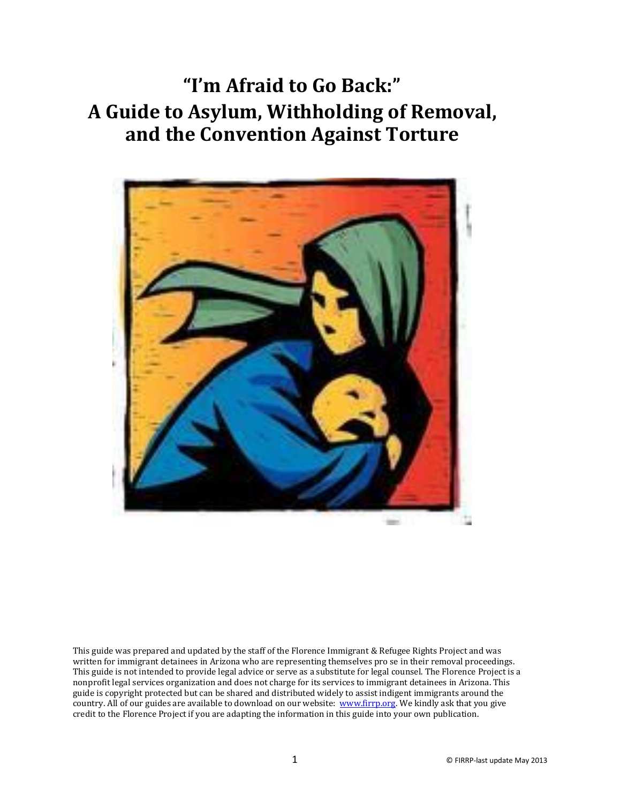**"I'm Afraid to Go Back:" A Guide to Asylum, Withholding of Removal, and the Convention Against Torture**



This guide was prepared and updated by the staff of the Florence Immigrant & Refugee Rights Project and was written for immigrant detainees in Arizona who are representing themselves pro se in their removal proceedings. This guide is not intended to provide legal advice or serve as a substitute for legal counsel. The Florence Project is a nonprofit legal services organization and does not charge for its services to immigrant detainees in Arizona. This guide is copyright protected but can be shared and distributed widely to assist indigent immigrants around the country. All of our guides are available to download on our website[: www.firrp.org.](http://www.firrp.org/) We kindly ask that you give credit to the Florence Project if you are adapting the information in this guide into your own publication.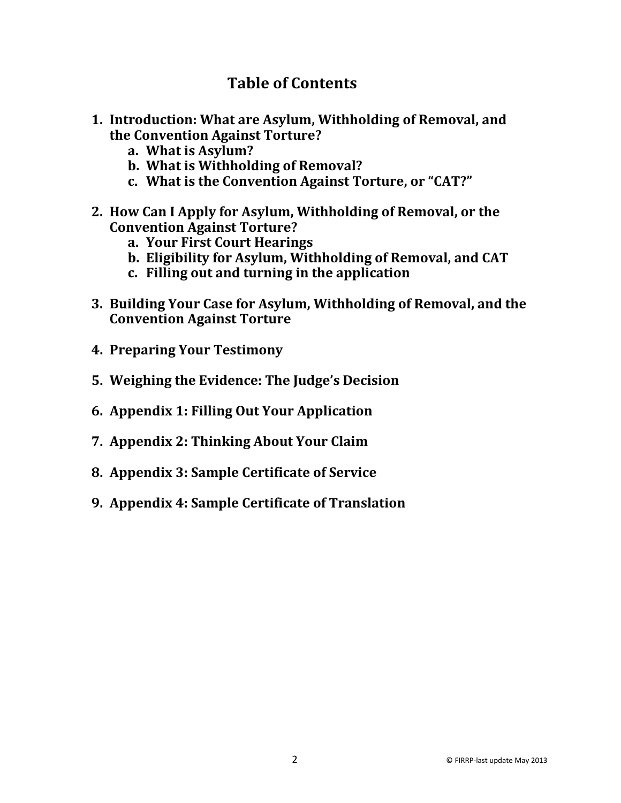### **Table of Contents**

- **1. Introduction: What are Asylum, Withholding of Removal, and the Convention Against Torture?** 
	- **a. What is Asylum?**
	- **b. What is Withholding of Removal?**
	- **c. What is the Convention Against Torture, or "CAT?"**
- **2. How Can I Apply for Asylum, Withholding of Removal, or the Convention Against Torture?** 
	- **a. Your First Court Hearings**
	- **b. Eligibility for Asylum, Withholding of Removal, and CAT**
	- **c. Filling out and turning in the application**
- **3. Building Your Case for Asylum, Withholding of Removal, and the Convention Against Torture**
- **4. Preparing Your Testimony**
- **5. Weighing the Evidence: The Judge's Decision**
- **6. Appendix 1: Filling Out Your Application**
- **7. Appendix 2: Thinking About Your Claim**
- **8. Appendix 3: Sample Certificate of Service**
- **9. Appendix 4: Sample Certificate of Translation**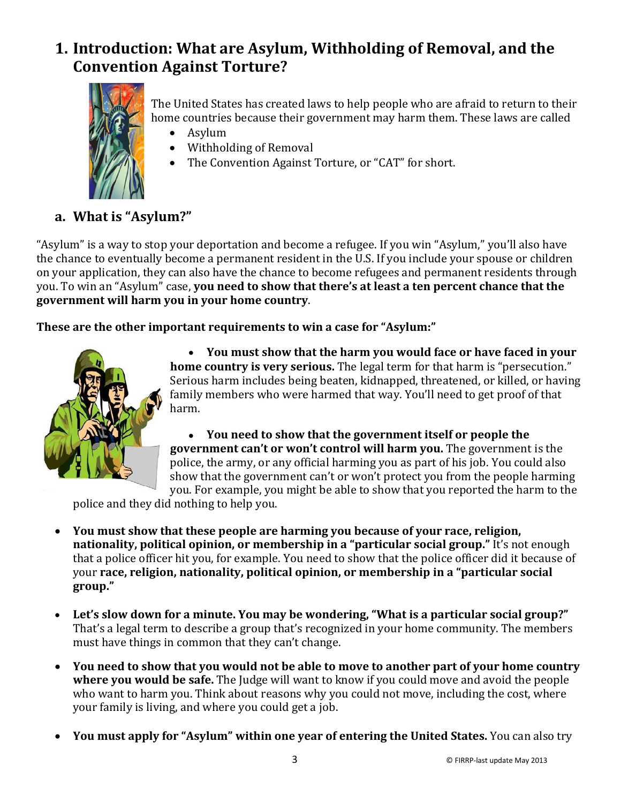# **1. Introduction: What are Asylum, Withholding of Removal, and the Convention Against Torture?**



The United States has created laws to help people who are afraid to return to their home countries because their government may harm them. These laws are called

- Asylum
- Withholding of Removal
- The Convention Against Torture, or "CAT" for short.

### **a. What is "Asylum?"**

"Asylum" is a way to stop your deportation and become a refugee. If you win "Asylum," you'll also have the chance to eventually become a permanent resident in the U.S. If you include your spouse or children on your application, they can also have the chance to become refugees and permanent residents through you. To win an "Asylum" case, **you need to show that there's at least a ten percent chance that the government will harm you in your home country**.

**These are the other important requirements to win a case for "Asylum:"**



• **You must show that the harm you would face or have faced in your home country is very serious.** The legal term for that harm is "persecution." Serious harm includes being beaten, kidnapped, threatened, or killed, or having family members who were harmed that way. You'll need to get proof of that harm.

• **You need to show that the government itself or people the government can't or won't control will harm you.** The government is the police, the army, or any official harming you as part of his job. You could also show that the government can't or won't protect you from the people harming you. For example, you might be able to show that you reported the harm to the

police and they did nothing to help you.

- **You must show that these people are harming you because of your race, religion, nationality, political opinion, or membership in a "particular social group."** It's not enough that a police officer hit you, for example. You need to show that the police officer did it because of your **race, religion, nationality, political opinion, or membership in a "particular social group."**
- **Let's slow down for a minute. You may be wondering, "What is a particular social group?"**  That's a legal term to describe a group that's recognized in your home community. The members must have things in common that they can't change.
- **You need to show that you would not be able to move to another part of your home country where you would be safe.** The Judge will want to know if you could move and avoid the people who want to harm you. Think about reasons why you could not move, including the cost, where your family is living, and where you could get a job.
- **You must apply for "Asylum" within one year of entering the United States.** You can also try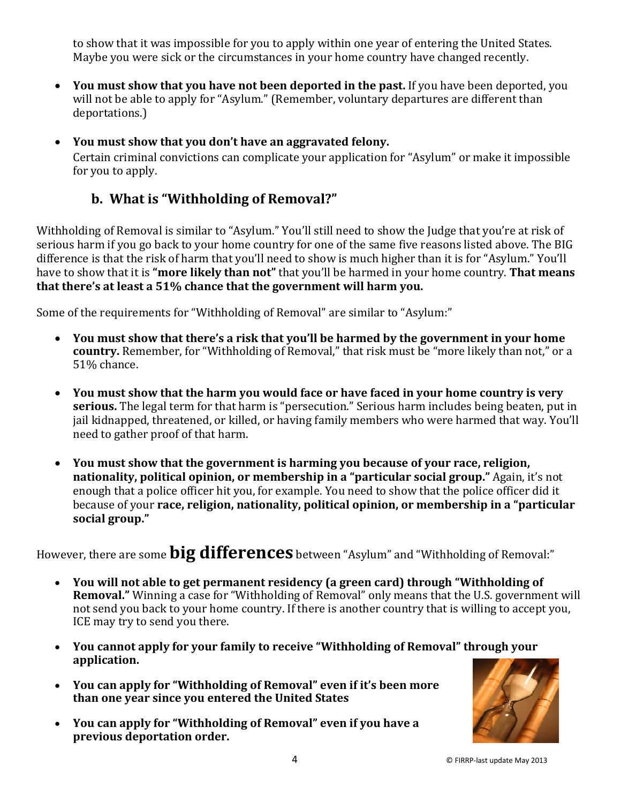to show that it was impossible for you to apply within one year of entering the United States. Maybe you were sick or the circumstances in your home country have changed recently.

- **You must show that you have not been deported in the past.** If you have been deported, you will not be able to apply for "Asylum." (Remember, voluntary departures are different than deportations.)
- **You must show that you don't have an aggravated felony.**  Certain criminal convictions can complicate your application for "Asylum" or make it impossible for you to apply.

### **b. What is "Withholding of Removal?"**

Withholding of Removal is similar to "Asylum." You'll still need to show the Judge that you're at risk of serious harm if you go back to your home country for one of the same five reasons listed above. The BIG difference is that the risk of harm that you'll need to show is much higher than it is for "Asylum." You'll have to show that it is **"more likely than not"** that you'll be harmed in your home country. **That means that there's at least a 51% chance that the government will harm you.**

Some of the requirements for "Withholding of Removal" are similar to "Asylum:"

- **You must show that there's a risk that you'll be harmed by the government in your home country.** Remember, for "Withholding of Removal," that risk must be "more likely than not," or a 51% chance.
- **You must show that the harm you would face or have faced in your home country is very serious.** The legal term for that harm is "persecution." Serious harm includes being beaten, put in jail kidnapped, threatened, or killed, or having family members who were harmed that way. You'll need to gather proof of that harm.
- **You must show that the government is harming you because of your race, religion, nationality, political opinion, or membership in a "particular social group."** Again, it's not enough that a police officer hit you, for example. You need to show that the police officer did it because of your **race, religion, nationality, political opinion, or membership in a "particular social group."**

However, there are some **big differences** between "Asylum" and "Withholding of Removal:"

- **You will not able to get permanent residency (a green card) through "Withholding of Removal."** Winning a case for "Withholding of Removal" only means that the U.S. government will not send you back to your home country. If there is another country that is willing to accept you, ICE may try to send you there.
- **You cannot apply for your family to receive "Withholding of Removal" through your application.**
- **You can apply for "Withholding of Removal" even if it's been more than one year since you entered the United States**
- **You can apply for "Withholding of Removal" even if you have a previous deportation order.**

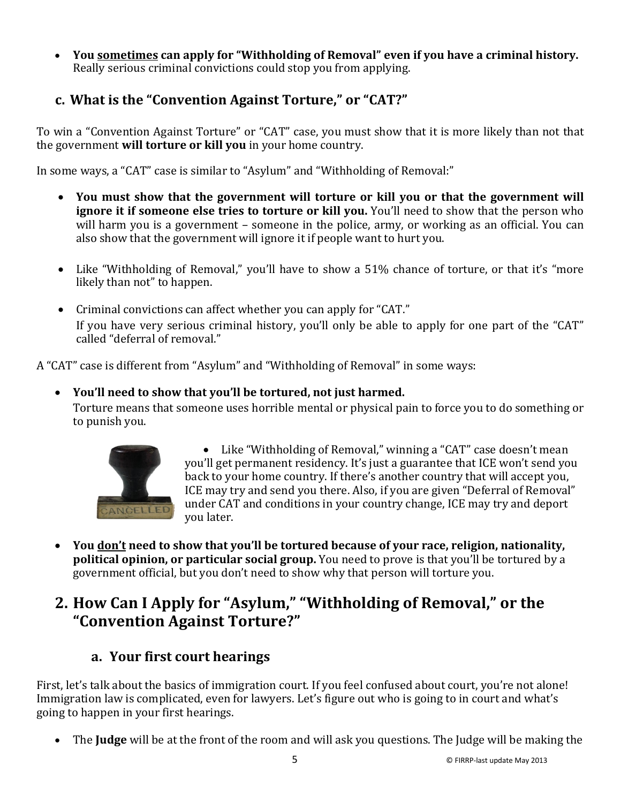• **You sometimes can apply for "Withholding of Removal" even if you have a criminal history.**  Really serious criminal convictions could stop you from applying.

### **c. What is the "Convention Against Torture," or "CAT?"**

To win a "Convention Against Torture" or "CAT" case, you must show that it is more likely than not that the government **will torture or kill you** in your home country.

In some ways, a "CAT" case is similar to "Asylum" and "Withholding of Removal:"

- **You must show that the government will torture or kill you or that the government will ignore it if someone else tries to torture or kill you.** You'll need to show that the person who will harm you is a government – someone in the police, army, or working as an official. You can also show that the government will ignore it if people want to hurt you.
- Like "Withholding of Removal," you'll have to show a 51% chance of torture, or that it's "more likely than not" to happen.
- Criminal convictions can affect whether you can apply for "CAT." If you have very serious criminal history, you'll only be able to apply for one part of the "CAT" called "deferral of removal."

A "CAT" case is different from "Asylum" and "Withholding of Removal" in some ways:

#### • **You'll need to show that you'll be tortured, not just harmed.**

Torture means that someone uses horrible mental or physical pain to force you to do something or to punish you.



• Like "Withholding of Removal," winning a "CAT" case doesn't mean you'll get permanent residency. It's just a guarantee that ICE won't send you back to your home country. If there's another country that will accept you, ICE may try and send you there. Also, if you are given "Deferral of Removal" under CAT and conditions in your country change, ICE may try and deport you later.

• **You don't need to show that you'll be tortured because of your race, religion, nationality, political opinion, or particular social group.** You need to prove is that you'll be tortured by a government official, but you don't need to show why that person will torture you.

# **2. How Can I Apply for "Asylum," "Withholding of Removal," or the "Convention Against Torture?"**

### **a. Your first court hearings**

First, let's talk about the basics of immigration court. If you feel confused about court, you're not alone! Immigration law is complicated, even for lawyers. Let's figure out who is going to in court and what's going to happen in your first hearings.

• The **Judge** will be at the front of the room and will ask you questions. The Judge will be making the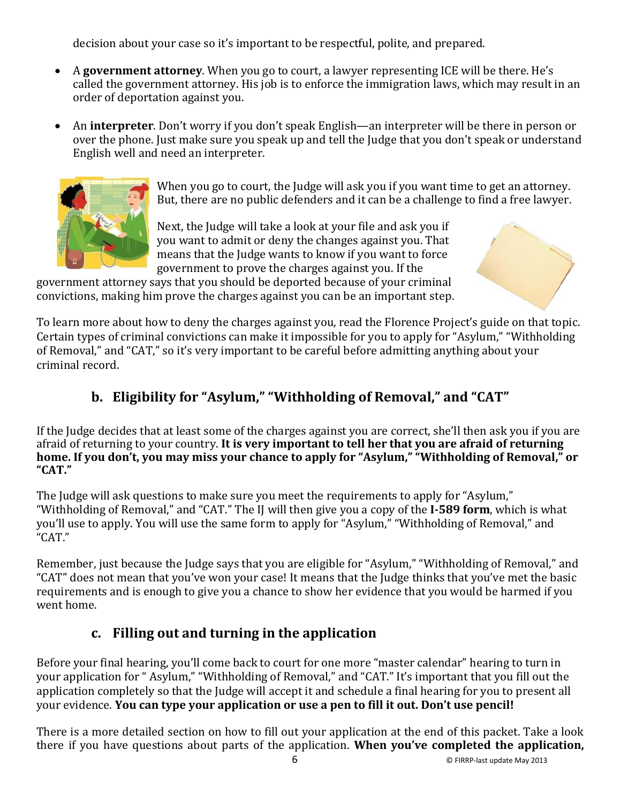decision about your case so it's important to be respectful, polite, and prepared.

- A **government attorney**. When you go to court, a lawyer representing ICE will be there. He's called the government attorney. His job is to enforce the immigration laws, which may result in an order of deportation against you.
- An **interpreter**. Don't worry if you don't speak English—an interpreter will be there in person or over the phone. Just make sure you speak up and tell the Judge that you don't speak or understand English well and need an interpreter.



When you go to court, the Judge will ask you if you want time to get an attorney. But, there are no public defenders and it can be a challenge to find a free lawyer.

Next, the Judge will take a look at your file and ask you if you want to admit or deny the changes against you. That means that the Judge wants to know if you want to force government to prove the charges against you. If the

government attorney says that you should be deported because of your criminal convictions, making him prove the charges against you can be an important step.

To learn more about how to deny the charges against you, read the Florence Project's guide on that topic. Certain types of criminal convictions can make it impossible for you to apply for "Asylum," "Withholding of Removal," and "CAT," so it's very important to be careful before admitting anything about your criminal record.

# **b. Eligibility for "Asylum," "Withholding of Removal," and "CAT"**

If the Judge decides that at least some of the charges against you are correct, she'll then ask you if you are afraid of returning to your country. **It is very important to tell her that you are afraid of returning home. If you don't, you may miss your chance to apply for "Asylum," "Withholding of Removal," or "CAT."**

The Judge will ask questions to make sure you meet the requirements to apply for "Asylum," "Withholding of Removal," and "CAT." The IJ will then give you a copy of the **I-589 form**, which is what you'll use to apply. You will use the same form to apply for "Asylum," "Withholding of Removal," and "CAT."

Remember, just because the Judge says that you are eligible for "Asylum," "Withholding of Removal," and "CAT" does not mean that you've won your case! It means that the Judge thinks that you've met the basic requirements and is enough to give you a chance to show her evidence that you would be harmed if you went home.

### **c. Filling out and turning in the application**

Before your final hearing, you'll come back to court for one more "master calendar" hearing to turn in your application for " Asylum," "Withholding of Removal," and "CAT." It's important that you fill out the application completely so that the Judge will accept it and schedule a final hearing for you to present all your evidence. **You can type your application or use a pen to fill it out. Don't use pencil!**

There is a more detailed section on how to fill out your application at the end of this packet. Take a look there if you have questions about parts of the application. **When you've completed the application,**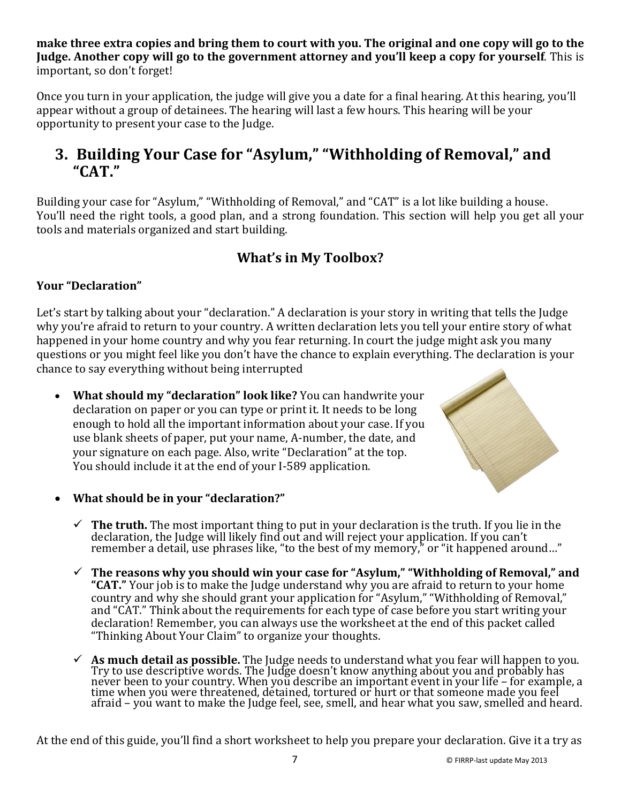**make three extra copies and bring them to court with you. The original and one copy will go to the Judge. Another copy will go to the government attorney and you'll keep a copy for yourself**. This is important, so don't forget!

Once you turn in your application, the judge will give you a date for a final hearing. At this hearing, you'll appear without a group of detainees. The hearing will last a few hours. This hearing will be your opportunity to present your case to the Judge.

# **3. Building Your Case for "Asylum," "Withholding of Removal," and "CAT."**

Building your case for "Asylum," "Withholding of Removal," and "CAT" is a lot like building a house. You'll need the right tools, a good plan, and a strong foundation. This section will help you get all your tools and materials organized and start building.

### **What's in My Toolbox?**

#### **Your "Declaration"**

Let's start by talking about your "declaration." A declaration is your story in writing that tells the Judge why you're afraid to return to your country. A written declaration lets you tell your entire story of what happened in your home country and why you fear returning. In court the judge might ask you many questions or you might feel like you don't have the chance to explain everything. The declaration is your chance to say everything without being interrupted

• **What should my "declaration" look like?** You can handwrite your declaration on paper or you can type or print it. It needs to be long enough to hold all the important information about your case. If you use blank sheets of paper, put your name, A-number, the date, and your signature on each page. Also, write "Declaration" at the top. You should include it at the end of your I-589 application.



- **What should be in your "declaration?"** 
	- $\checkmark$  The truth. The most important thing to put in your declaration is the truth. If you lie in the declaration, the Judge will likely find out and will reject your application. If you can't remember a detail, use phrases like, "to the best of my memory," or "it happened around…"
	- **The reasons why you should win your case for "Asylum," "Withholding of Removal," and "CAT."** Your job is to make the Judge understand why you are afraid to return to your home country and why she should grant your application for "Asylum," "Withholding of Removal," and "CAT." Think about the requirements for each type of case before you start writing your declaration! Remember, you can always use the worksheet at the end of this packet called "Thinking About Your Claim" to organize your thoughts.
	- **As much detail as possible.** The Judge needs to understand what you fear will happen to you. Try to use descriptive words. The Judge doesn't know anything about you and probably has never been to your country. When you describe an important event in your life – for example, a<br>time when you were threatened, detained, tortured or hurt or that someone made you feel<br>efect of the solutions afraid – you want to make the Judge feel, see, smell, and hear what you saw, smelled and heard.

At the end of this guide, you'll find a short worksheet to help you prepare your declaration. Give it a try as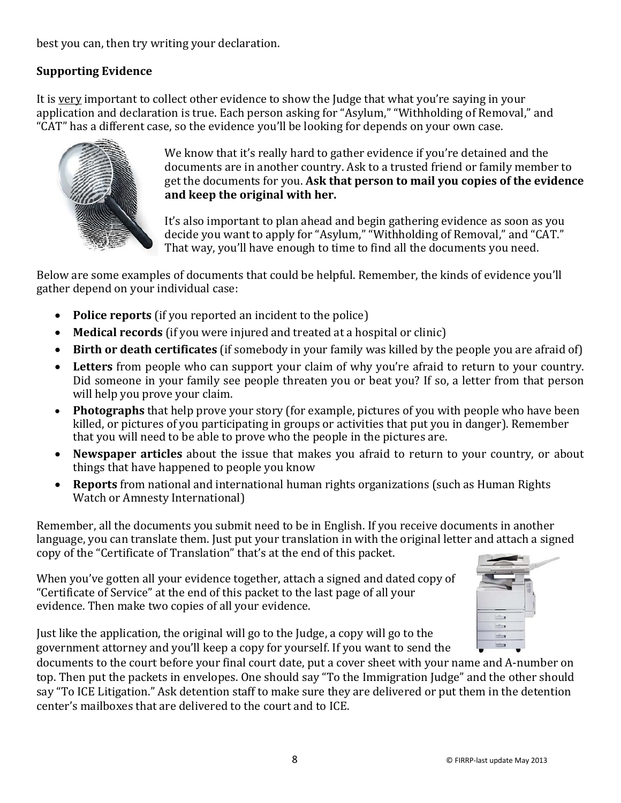best you can, then try writing your declaration.

#### **Supporting Evidence**

It is very important to collect other evidence to show the Judge that what you're saying in your application and declaration is true. Each person asking for "Asylum," "Withholding of Removal," and "CAT" has a different case, so the evidence you'll be looking for depends on your own case.



We know that it's really hard to gather evidence if you're detained and the documents are in another country. Ask to a trusted friend or family member to get the documents for you. **Ask that person to mail you copies of the evidence and keep the original with her.**

It's also important to plan ahead and begin gathering evidence as soon as you decide you want to apply for "Asylum," "Withholding of Removal," and "CAT." That way, you'll have enough to time to find all the documents you need.

Below are some examples of documents that could be helpful. Remember, the kinds of evidence you'll gather depend on your individual case:

- **Police reports** (if you reported an incident to the police)
- **Medical records** (if you were injured and treated at a hospital or clinic)
- **Birth or death certificates** (if somebody in your family was killed by the people you are afraid of)
- **Letters** from people who can support your claim of why you're afraid to return to your country. Did someone in your family see people threaten you or beat you? If so, a letter from that person will help you prove your claim.
- **Photographs** that help prove your story (for example, pictures of you with people who have been killed, or pictures of you participating in groups or activities that put you in danger). Remember that you will need to be able to prove who the people in the pictures are.
- **Newspaper articles** about the issue that makes you afraid to return to your country, or about things that have happened to people you know
- **Reports** from national and international human rights organizations (such as Human Rights Watch or Amnesty International)

Remember, all the documents you submit need to be in English. If you receive documents in another language, you can translate them. Just put your translation in with the original letter and attach a signed copy of the "Certificate of Translation" that's at the end of this packet.

When you've gotten all your evidence together, attach a signed and dated copy of "Certificate of Service" at the end of this packet to the last page of all your evidence. Then make two copies of all your evidence.



documents to the court before your final court date, put a cover sheet with your name and A-number on top. Then put the packets in envelopes. One should say "To the Immigration Judge" and the other should say "To ICE Litigation." Ask detention staff to make sure they are delivered or put them in the detention center's mailboxes that are delivered to the court and to ICE.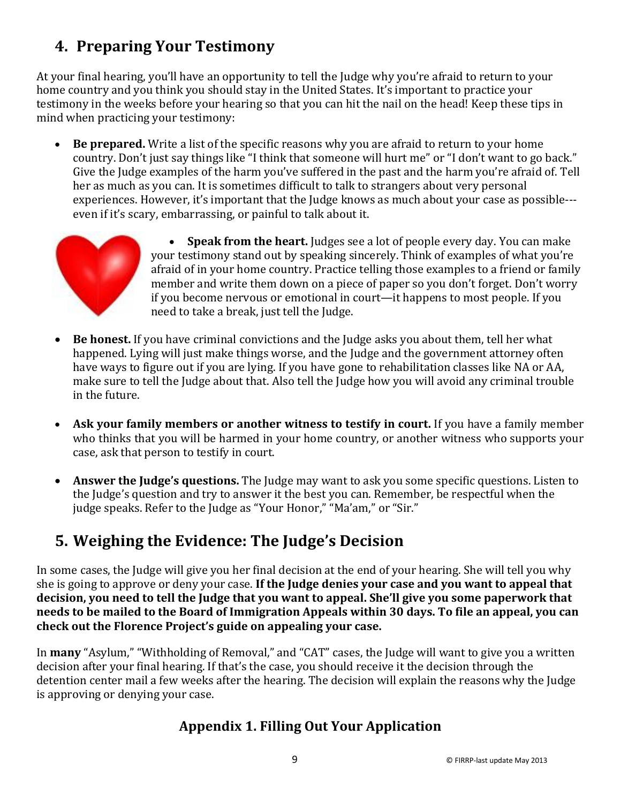# **4. Preparing Your Testimony**

At your final hearing, you'll have an opportunity to tell the Judge why you're afraid to return to your home country and you think you should stay in the United States. It's important to practice your testimony in the weeks before your hearing so that you can hit the nail on the head! Keep these tips in mind when practicing your testimony:

• **Be prepared.** Write a list of the specific reasons why you are afraid to return to your home country. Don't just say things like "I think that someone will hurt me" or "I don't want to go back." Give the Judge examples of the harm you've suffered in the past and the harm you're afraid of. Tell her as much as you can. It is sometimes difficult to talk to strangers about very personal experiences. However, it's important that the Judge knows as much about your case as possible-- even if it's scary, embarrassing, or painful to talk about it.



- **Speak from the heart.** Judges see a lot of people every day. You can make your testimony stand out by speaking sincerely. Think of examples of what you're afraid of in your home country. Practice telling those examples to a friend or family member and write them down on a piece of paper so you don't forget. Don't worry if you become nervous or emotional in court—it happens to most people. If you need to take a break, just tell the Judge.
- **Be honest.** If you have criminal convictions and the Judge asks you about them, tell her what happened. Lying will just make things worse, and the Judge and the government attorney often have ways to figure out if you are lying. If you have gone to rehabilitation classes like NA or AA, make sure to tell the Judge about that. Also tell the Judge how you will avoid any criminal trouble in the future.
- **Ask your family members or another witness to testify in court.** If you have a family member who thinks that you will be harmed in your home country, or another witness who supports your case, ask that person to testify in court.
- **Answer the Judge's questions.** The Judge may want to ask you some specific questions. Listen to the Judge's question and try to answer it the best you can. Remember, be respectful when the judge speaks. Refer to the Judge as "Your Honor," "Ma'am," or "Sir."

# **5. Weighing the Evidence: The Judge's Decision**

In some cases, the Judge will give you her final decision at the end of your hearing. She will tell you why she is going to approve or deny your case. **If the Judge denies your case and you want to appeal that decision, you need to tell the Judge that you want to appeal. She'll give you some paperwork that needs to be mailed to the Board of Immigration Appeals within 30 days. To file an appeal, you can check out the Florence Project's guide on appealing your case.**

In **many** "Asylum," "Withholding of Removal," and "CAT" cases, the Judge will want to give you a written decision after your final hearing. If that's the case, you should receive it the decision through the detention center mail a few weeks after the hearing. The decision will explain the reasons why the Judge is approving or denying your case.

### **Appendix 1. Filling Out Your Application**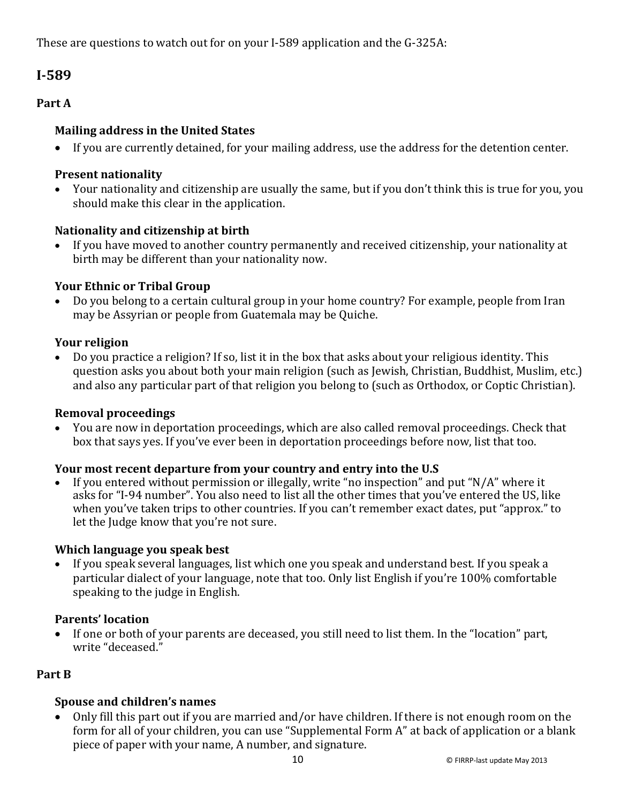These are questions to watch out for on your I-589 application and the G-325A:

### **I-589**

#### **Part A**

#### **Mailing address in the United States**

• If you are currently detained, for your mailing address, use the address for the detention center.

#### **Present nationality**

• Your nationality and citizenship are usually the same, but if you don't think this is true for you, you should make this clear in the application.

#### **Nationality and citizenship at birth**

• If you have moved to another country permanently and received citizenship, your nationality at birth may be different than your nationality now.

#### **Your Ethnic or Tribal Group**

• Do you belong to a certain cultural group in your home country? For example, people from Iran may be Assyrian or people from Guatemala may be Quiche.

#### **Your religion**

• Do you practice a religion? If so, list it in the box that asks about your religious identity. This question asks you about both your main religion (such as Jewish, Christian, Buddhist, Muslim, etc.) and also any particular part of that religion you belong to (such as Orthodox, or Coptic Christian).

#### **Removal proceedings**

• You are now in deportation proceedings, which are also called removal proceedings. Check that box that says yes. If you've ever been in deportation proceedings before now, list that too.

#### **Your most recent departure from your country and entry into the U.S**

If you entered without permission or illegally, write "no inspection" and put "N/A" where it asks for "I-94 number". You also need to list all the other times that you've entered the US, like when you've taken trips to other countries. If you can't remember exact dates, put "approx." to let the Judge know that you're not sure.

#### **Which language you speak best**

• If you speak several languages, list which one you speak and understand best. If you speak a particular dialect of your language, note that too. Only list English if you're 100% comfortable speaking to the judge in English.

#### **Parents' location**

• If one or both of your parents are deceased, you still need to list them. In the "location" part, write "deceased."

#### **Part B**

#### **Spouse and children's names**

• Only fill this part out if you are married and/or have children. If there is not enough room on the form for all of your children, you can use "Supplemental Form A" at back of application or a blank piece of paper with your name, A number, and signature.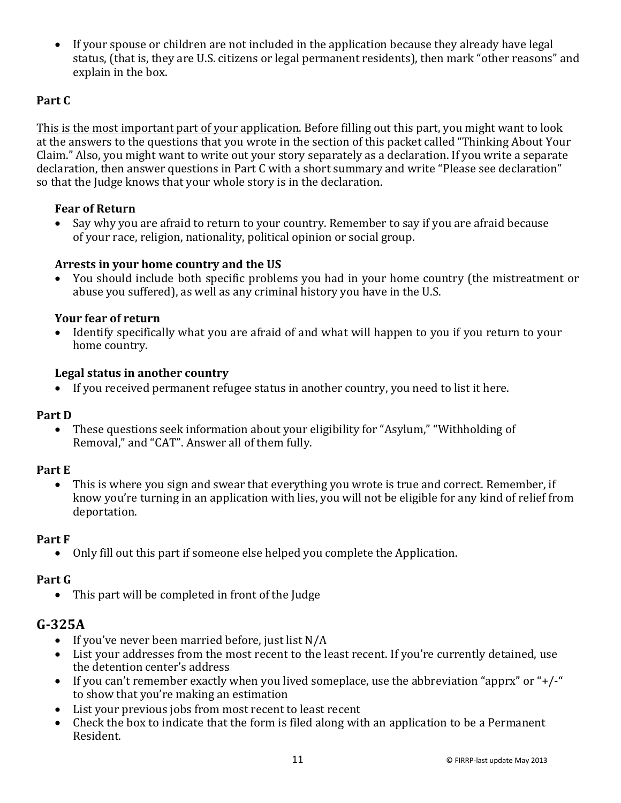• If your spouse or children are not included in the application because they already have legal status, (that is, they are U.S. citizens or legal permanent residents), then mark "other reasons" and explain in the box.

#### **Part C**

This is the most important part of your application. Before filling out this part, you might want to look at the answers to the questions that you wrote in the section of this packet called "Thinking About Your Claim." Also, you might want to write out your story separately as a declaration. If you write a separate declaration, then answer questions in Part C with a short summary and write "Please see declaration" so that the Judge knows that your whole story is in the declaration.

#### **Fear of Return**

• Say why you are afraid to return to your country. Remember to say if you are afraid because of your race, religion, nationality, political opinion or social group.

#### **Arrests in your home country and the US**

• You should include both specific problems you had in your home country (the mistreatment or abuse you suffered), as well as any criminal history you have in the U.S.

#### **Your fear of return**

• Identify specifically what you are afraid of and what will happen to you if you return to your home country.

#### **Legal status in another country**

• If you received permanent refugee status in another country, you need to list it here.

#### **Part D**

• These questions seek information about your eligibility for "Asylum," "Withholding of Removal," and "CAT". Answer all of them fully.

#### **Part E**

• This is where you sign and swear that everything you wrote is true and correct. Remember, if know you're turning in an application with lies, you will not be eligible for any kind of relief from deportation.

#### **Part F**

• Only fill out this part if someone else helped you complete the Application.

#### **Part G**

• This part will be completed in front of the Judge

#### **G-325A**

- If you've never been married before, just list N/A
- List your addresses from the most recent to the least recent. If you're currently detained, use the detention center's address
- If you can't remember exactly when you lived someplace, use the abbreviation "apprx" or "+/-" to show that you're making an estimation
- List your previous jobs from most recent to least recent
- Check the box to indicate that the form is filed along with an application to be a Permanent Resident.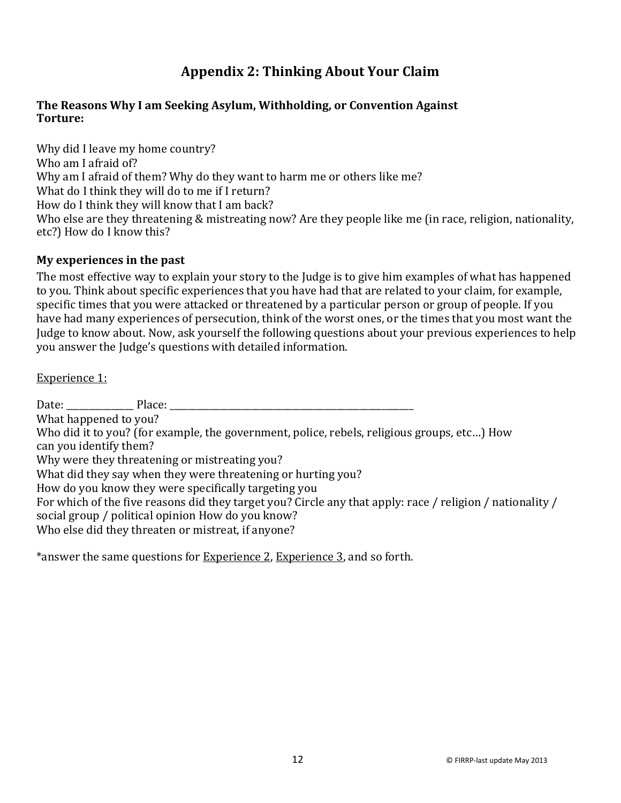### **Appendix 2: Thinking About Your Claim**

#### **The Reasons Why I am Seeking Asylum, Withholding, or Convention Against Torture:**

Why did I leave my home country? Who am I afraid of? Why am I afraid of them? Why do they want to harm me or others like me? What do I think they will do to me if I return? How do I think they will know that I am back? Who else are they threatening & mistreating now? Are they people like me (in race, religion, nationality, etc?) How do I know this?

#### **My experiences in the past**

The most effective way to explain your story to the Judge is to give him examples of what has happened to you. Think about specific experiences that you have had that are related to your claim, for example, specific times that you were attacked or threatened by a particular person or group of people. If you have had many experiences of persecution, think of the worst ones, or the times that you most want the Judge to know about. Now, ask yourself the following questions about your previous experiences to help you answer the Judge's questions with detailed information.

#### Experience 1:

Date: The Place:  $\Box$ What happened to you? Who did it to you? (for example, the government, police, rebels, religious groups, etc…) How can you identify them? Why were they threatening or mistreating you? What did they say when they were threatening or hurting you? How do you know they were specifically targeting you For which of the five reasons did they target you? Circle any that apply: race / religion / nationality / social group / political opinion How do you know? Who else did they threaten or mistreat, if anyone?

\*answer the same questions for Experience 2, Experience 3, and so forth.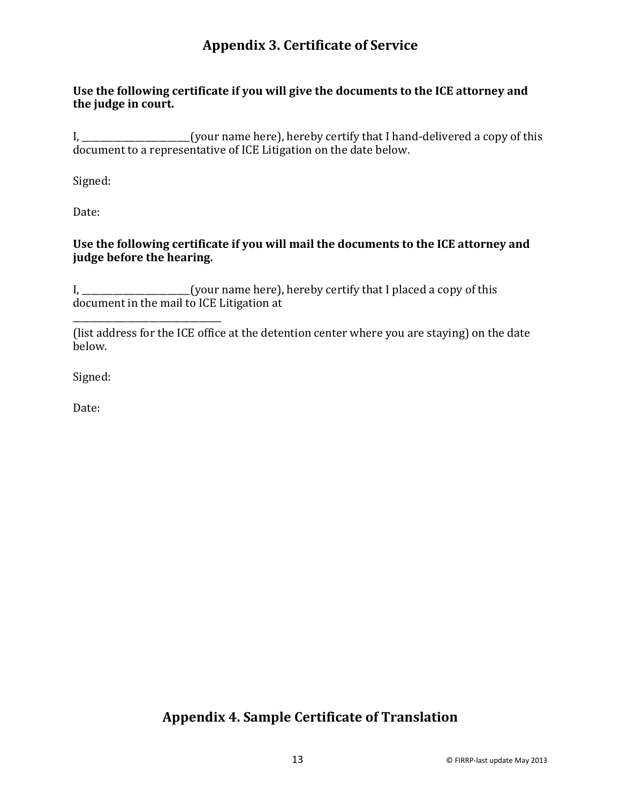### **Appendix 3. Certificate of Service**

#### **Use the following certificate if you will give the documents to the ICE attorney and the judge in court.**

I, \_\_\_\_\_\_\_\_\_\_\_\_\_\_\_\_\_\_\_\_\_\_\_\_(your name here), hereby certify that I hand-delivered a copy of this document to a representative of ICE Litigation on the date below.

Signed:

Date:

#### **Use the following certificate if you will mail the documents to the ICE attorney and judge before the hearing.**

I, \_\_\_\_\_\_\_\_\_\_\_\_\_\_\_\_\_\_\_\_(your name here), hereby certify that I placed a copy of this document in the mail to ICE Litigation at

| below. | (list address for the ICE office at the detention center where you are staying) on the date |
|--------|---------------------------------------------------------------------------------------------|

Signed:

Date:

### **Appendix 4. Sample Certificate of Translation**